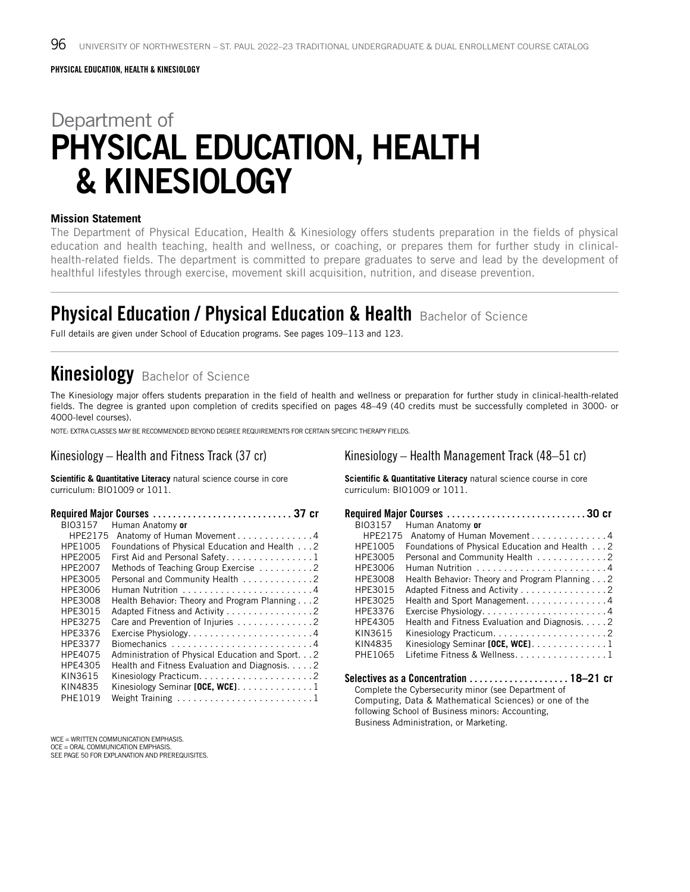# Department of PHYSICAL EDUCATION, HEALTH & KINESIOLOGY

#### **Mission Statement**

The Department of Physical Education, Health & Kinesiology offers students preparation in the fields of physical education and health teaching, health and wellness, or coaching, or prepares them for further study in clinicalhealth-related fields. The department is committed to prepare graduates to serve and lead by the development of healthful lifestyles through exercise, movement skill acquisition, nutrition, and disease prevention.

# **Physical Education / Physical Education & Health Bachelor of Science**

Full details are given under School of Education programs. See pages 109–113 and 123.

# **Kinesiology** Bachelor of Science

The Kinesiology major offers students preparation in the field of health and wellness or preparation for further study in clinical-health-related fields. The degree is granted upon completion of credits specified on pages 48–49 (40 credits must be successfully completed in 3000- or 4000-level courses).

NOTE: EXTRA CLASSES MAY BE RECOMMENDED BEYOND DEGREE REQUIREMENTS FOR CERTAIN SPECIFIC THERAPY FIELDS.

#### Kinesiology – Health and Fitness Track (37 cr)

**Scientific & Quantitative Literacy** natural science course in core curriculum: BIO1009 or 1011.

|         | Required Major Courses  37 cr                     |
|---------|---------------------------------------------------|
| BI03157 | Human Anatomy or                                  |
| HPF2175 | Anatomy of Human Movement 4                       |
| HPE1005 | Foundations of Physical Education and Health 2    |
| HPE2005 | First Aid and Personal Safety. 1                  |
| HPE2007 | Methods of Teaching Group Exercise 2              |
| HPE3005 | Personal and Community Health 2                   |
| HPE3006 |                                                   |
| HPE3008 | Health Behavior: Theory and Program Planning 2    |
| HPE3015 | Adapted Fitness and Activity 2                    |
| HPF3275 | Care and Prevention of Injuries 2                 |
| HPF3376 |                                                   |
| HPF3377 | Biomechanics 4                                    |
| HPE4075 | Administration of Physical Education and Sport. 2 |
| HPE4305 | Health and Fitness Evaluation and Diagnosis. 2    |
| KIN3615 |                                                   |
| KIN4835 | Kinesiology Seminar [OCE, WCE]. $\ldots$ 1        |
| PHE1019 |                                                   |

WCE = WRITTEN COMMUNICATION EMPHASIS.

OCE = ORAL COMMUNICATION EMPHASIS.

SEE PAGE 50 FOR EXPLANATION AND PREREQUISITES.

Kinesiology – Health Management Track (48–51 cr)

**Scientific & Quantitative Literacy** natural science course in core curriculum: BIO1009 or 1011.

| <b>BIO3157</b> | Human Anatomy or                                              |
|----------------|---------------------------------------------------------------|
| HPE2175        | Anatomy of Human Movement 4                                   |
| HPF1005        | Foundations of Physical Education and Health 2                |
| HPE3005        | Personal and Community Health 2                               |
| HPE3006        |                                                               |
| HPE3008        | Health Behavior: Theory and Program Planning 2                |
| HPE3015        | Adapted Fitness and Activity 2                                |
| HPE3025        | Health and Sport Management. 4                                |
| HPE3376        |                                                               |
| HPF4305        | Health and Fitness Evaluation and Diagnosis2                  |
| KIN3615        |                                                               |
| KIN4835        | Kinesiology Seminar [OCE, WCE]. $\ldots \ldots \ldots \ldots$ |
| PHF1065        | Lifetime Fitness & Wellness1                                  |
|                |                                                               |

```
Complete the Cybersecurity minor (see Department of 
Computing, Data & Mathematical Sciences) or one of the 
following School of Business minors: Accounting, 
Business Administration, or Marketing.
```